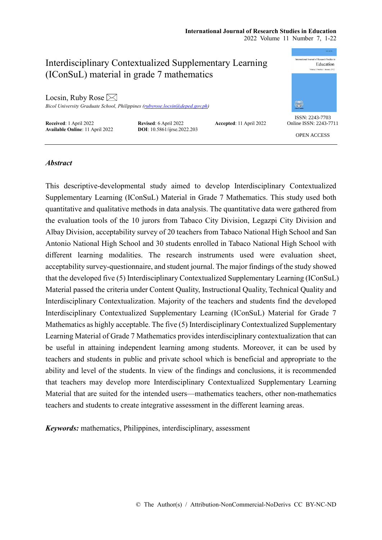#### **International Journal of Research Studies in Education** 2022 Volume 11 Number 7, 1-22

International Journal of Recepts Studies in Interdisciplinary Contextualized Supplementary Learning Education (IConSuL) material in grade 7 mathematics Locsin, Ruby Rose  $\boxtimes$ orania<br>Sank *Bicol University Graduate School, Philippines [\(rubyrose.locsin@deped.gov.ph\)](mailto:rubyrose.locsin@deped.gov.ph)* ISSN: 2243-7703 **Received**: 1 April 2022 **Revised**: 6 April 2022 **Accepted**: 11 April 2022<br>**Available Online**: 11 April 2022 **DOI**: 10.5861/ijrse.2022.203 Online ISSN: 2243-7711 **Available Online**: 11 April 2022 OPEN ACCESS

# *Abstract*

This descriptive-developmental study aimed to develop Interdisciplinary Contextualized Supplementary Learning (IConSuL) Material in Grade 7 Mathematics. This study used both quantitative and qualitative methods in data analysis. The quantitative data were gathered from the evaluation tools of the 10 jurors from Tabaco City Division, Legazpi City Division and Albay Division, acceptability survey of 20 teachers from Tabaco National High School and San Antonio National High School and 30 students enrolled in Tabaco National High School with different learning modalities. The research instruments used were evaluation sheet, acceptability survey-questionnaire, and student journal. The major findings of the study showed that the developed five (5) Interdisciplinary Contextualized Supplementary Learning (IConSuL) Material passed the criteria under Content Quality, Instructional Quality, Technical Quality and Interdisciplinary Contextualization. Majority of the teachers and students find the developed Interdisciplinary Contextualized Supplementary Learning (IConSuL) Material for Grade 7 Mathematics as highly acceptable. The five (5) Interdisciplinary Contextualized Supplementary Learning Material of Grade 7 Mathematics provides interdisciplinary contextualization that can be useful in attaining independent learning among students. Moreover, it can be used by teachers and students in public and private school which is beneficial and appropriate to the ability and level of the students. In view of the findings and conclusions, it is recommended that teachers may develop more Interdisciplinary Contextualized Supplementary Learning Material that are suited for the intended users—mathematics teachers, other non-mathematics teachers and students to create integrative assessment in the different learning areas.

*Keywords:* mathematics, Philippines, interdisciplinary, assessment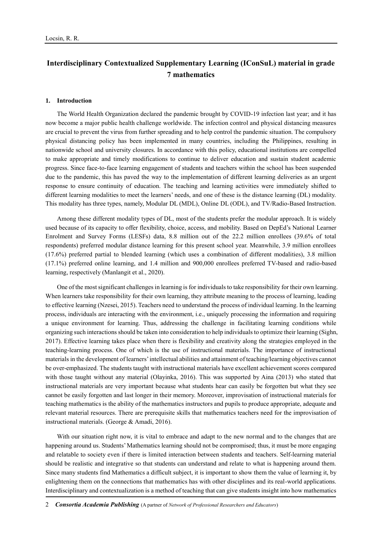# **Interdisciplinary Contextualized Supplementary Learning (IConSuL) material in grade 7 mathematics**

#### **1. Introduction**

The World Health Organization declared the pandemic brought by COVID-19 infection last year; and it has now become a major public health challenge worldwide. The infection control and physical distancing measures are crucial to prevent the virus from further spreading and to help control the pandemic situation. The compulsory physical distancing policy has been implemented in many countries, including the Philippines, resulting in nationwide school and university closures. In accordance with this policy, educational institutions are compelled to make appropriate and timely modifications to continue to deliver education and sustain student academic progress. Since face-to-face learning engagement of students and teachers within the school has been suspended due to the pandemic, this has paved the way to the implementation of different learning deliveries as an urgent response to ensure continuity of education. The teaching and learning activities were immediately shifted to different learning modalities to meet the learners' needs, and one of these is the distance learning (DL) modality. This modality has three types, namely, Modular DL (MDL), Online DL (ODL), and TV/Radio-Based Instruction.

Among these different modality types of DL, most of the students prefer the modular approach. It is widely used because of its capacity to offer flexibility, choice, access, and mobility. Based on DepEd's National Learner Enrolment and Survey Forms (LESFs) data, 8.8 million out of the 22.2 million enrollees (39.6% of total respondents) preferred modular distance learning for this present school year. Meanwhile, 3.9 million enrollees (17.6%) preferred partial to blended learning (which uses a combination of different modalities), 3.8 million (17.1%) preferred online learning, and 1.4 million and 900,000 enrollees preferred TV-based and radio-based learning, respectively (Manlangit et al., 2020).

One of the most significant challenges in learning is for individuals to take responsibility for their own learning. When learners take responsibility for their own learning, they attribute meaning to the process of learning, leading to effective learning (Nzesei, 2015). Teachers need to understand the process of individual learning. In the learning process, individuals are interacting with the environment, i.e., uniquely processing the information and requiring a unique environment for learning. Thus, addressing the challenge in facilitating learning conditions while organizing such interactions should be taken into consideration to help individuals to optimize their learning (Sighn, 2017). Effective learning takes place when there is flexibility and creativity along the strategies employed in the teaching-learning process. One of which is the use of instructional materials. The importance of instructional materials in the development of learners' intellectual abilities and attainment of teaching/learning objectives cannot be over-emphasized. The students taught with instructional materials have excellent achievement scores compared with those taught without any material (Olayinka, 2016). This was supported by Aina (2013) who stated that instructional materials are very important because what students hear can easily be forgotten but what they see cannot be easily forgotten and last longer in their memory. Moreover, improvisation of instructional materials for teaching mathematics is the ability of the mathematics instructors and pupils to produce appropriate, adequate and relevant material resources. There are prerequisite skills that mathematics teachers need for the improvisation of instructional materials. (George & Amadi, 2016).

With our situation right now, it is vital to embrace and adapt to the new normal and to the changes that are happening around us. Students' Mathematics learning should not be compromised; thus, it must be more engaging and relatable to society even if there is limited interaction between students and teachers. Self-learning material should be realistic and integrative so that students can understand and relate to what is happening around them. Since many students find Mathematics a difficult subject, it is important to show them the value of learning it, by enlightening them on the connections that mathematics has with other disciplines and its real-world applications. Interdisciplinary and contextualization is a method of teaching that can give students insight into how mathematics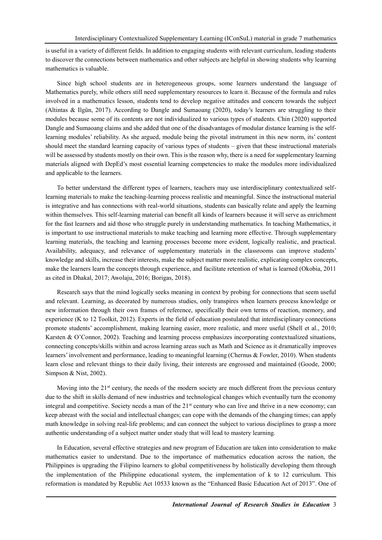is useful in a variety of different fields. In addition to engaging students with relevant curriculum, leading students to discover the connections between mathematics and other subjects are helpful in showing students why learning mathematics is valuable.

Since high school students are in heterogeneous groups, some learners understand the language of Mathematics purely, while others still need supplementary resources to learn it. Because of the formula and rules involved in a mathematics lesson, students tend to develop negative attitudes and concern towards the subject (Altintas & Ilgün, 2017). According to Dangle and Sumaoang (2020), today's learners are struggling to their modules because some of its contents are not individualized to various types of students. Chin (2020) supported Dangle and Sumaoang claims and she added that one of the disadvantages of modular distance learning is the selflearning modules' reliability. As she argued, module being the pivotal instrument in this new norm, its' content should meet the standard learning capacity of various types of students – given that these instructional materials will be assessed by students mostly on their own. This is the reason why, there is a need for supplementary learning materials aligned with DepEd's most essential learning competencies to make the modules more individualized and applicable to the learners.

To better understand the different types of learners, teachers may use interdisciplinary contextualized selflearning materials to make the teaching-learning process realistic and meaningful. Since the instructional material is integrative and has connections with real-world situations, students can basically relate and apply the learning within themselves. This self-learning material can benefit all kinds of learners because it will serve as enrichment for the fast learners and aid those who struggle purely in understanding mathematics. In teaching Mathematics, it is important to use instructional materials to make teaching and learning more effective. Through supplementary learning materials, the teaching and learning processes become more evident, logically realistic, and practical. Availability, adequacy, and relevance of supplementary materials in the classrooms can improve students' knowledge and skills, increase their interests, make the subject matter more realistic, explicating complex concepts, make the learners learn the concepts through experience, and facilitate retention of what is learned (Okobia, 2011 as cited in Dhakal, 2017; Awolaju, 2016; Borigas, 2018).

Research says that the mind logically seeks meaning in context by probing for connections that seem useful and relevant. Learning, as decorated by numerous studies, only transpires when learners process knowledge or new information through their own frames of reference, specifically their own terms of reaction, memory, and experience (K to 12 Toolkit, 2012). Experts in the field of education postulated that interdisciplinary connections promote students' accomplishment, making learning easier, more realistic, and more useful (Shell et al., 2010; Karsten & O'Connor, 2002). Teaching and learning process emphasizes incorporating contextualized situations, connecting concepts/skills within and across learning areas such as Math and Science as it dramatically improves learners' involvement and performance, leading to meaningful learning (Chernus & Fowler, 2010). When students learn close and relevant things to their daily living, their interests are engrossed and maintained (Goode, 2000; Simpson & Nist, 2002).

Moving into the  $21<sup>st</sup>$  century, the needs of the modern society are much different from the previous century due to the shift in skills demand of new industries and technological changes which eventually turn the economy integral and competitive. Society needs a man of the 21<sup>st</sup> century who can live and thrive in a new economy; can keep abreast with the social and intellectual changes; can cope with the demands of the changing times; can apply math knowledge in solving real-life problems; and can connect the subject to various disciplines to grasp a more authentic understanding of a subject matter under study that will lead to mastery learning.

In Education, several effective strategies and new program of Education are taken into consideration to make mathematics easier to understand. Due to the importance of mathematics education across the nation, the Philippines is upgrading the Filipino learners to global competitiveness by holistically developing them through the implementation of the Philippine educational system, the implementation of k to 12 curriculum. This reformation is mandated by Republic Act 10533 known as the "Enhanced Basic Education Act of 2013". One of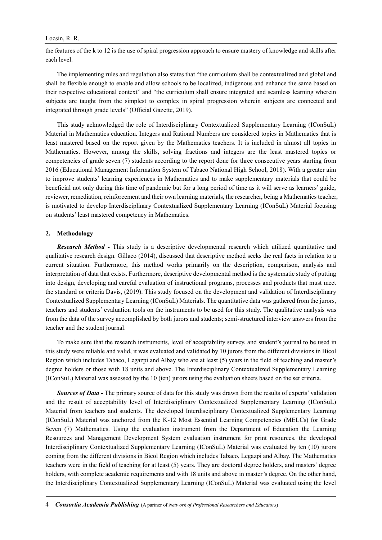the features of the k to 12 is the use of spiral progression approach to ensure mastery of knowledge and skills after each level.

The implementing rules and regulation also states that "the curriculum shall be contextualized and global and shall be flexible enough to enable and allow schools to be localized, indigenous and enhance the same based on their respective educational context" and "the curriculum shall ensure integrated and seamless learning wherein subjects are taught from the simplest to complex in spiral progression wherein subjects are connected and integrated through grade levels" (Official Gazette, 2019).

This study acknowledged the role of Interdisciplinary Contextualized Supplementary Learning (IConSuL) Material in Mathematics education. Integers and Rational Numbers are considered topics in Mathematics that is least mastered based on the report given by the Mathematics teachers. It is included in almost all topics in Mathematics. However, among the skills, solving fractions and integers are the least mastered topics or competencies of grade seven (7) students according to the report done for three consecutive years starting from 2016 (Educational Management Information System of Tabaco National High School, 2018). With a greater aim to improve students' learning experiences in Mathematics and to make supplementary materials that could be beneficial not only during this time of pandemic but for a long period of time as it will serve as learners' guide, reviewer, remediation, reinforcement and their own learning materials, the researcher, being a Mathematics teacher, is motivated to develop Interdisciplinary Contextualized Supplementary Learning (IConSuL) Material focusing on students' least mastered competency in Mathematics.

#### **2. Methodology**

*Research Method -* This study is a descriptive developmental research which utilized quantitative and qualitative research design. Gillaco (2014), discussed that descriptive method seeks the real facts in relation to a current situation. Furthermore, this method works primarily on the description, comparison, analysis and interpretation of data that exists. Furthermore, descriptive developmental method is the systematic study of putting into design, developing and careful evaluation of instructional programs, processes and products that must meet the standard or criteria Davis, (2019). This study focused on the development and validation of Interdisciplinary Contextualized Supplementary Learning (IConSuL) Materials. The quantitative data was gathered from the jurors, teachers and students' evaluation tools on the instruments to be used for this study. The qualitative analysis was from the data of the survey accomplished by both jurors and students; semi-structured interview answers from the teacher and the student journal.

To make sure that the research instruments, level of acceptability survey, and student's journal to be used in this study were reliable and valid, it was evaluated and validated by 10 jurors from the different divisions in Bicol Region which includes Tabaco, Legazpi and Albay who are at least (5) years in the field of teaching and master's degree holders or those with 18 units and above. The Interdisciplinary Contextualized Supplementary Learning (IConSuL) Material was assessed by the 10 (ten) jurors using the evaluation sheets based on the set criteria.

**Sources of Data -** The primary source of data for this study was drawn from the results of experts' validation and the result of acceptability level of Interdisciplinary Contextualized Supplementary Learning (IConSuL) Material from teachers and students. The developed Interdisciplinary Contextualized Supplementary Learning (IConSuL) Material was anchored from the K-12 Most Essential Learning Competencies (MELCs) for Grade Seven (7) Mathematics. Using the evaluation instrument from the Department of Education the Learning Resources and Management Development System evaluation instrument for print resources, the developed Interdisciplinary Contextualized Supplementary Learning (IConSuL) Material was evaluated by ten (10) jurors coming from the different divisions in Bicol Region which includes Tabaco, Legazpi and Albay. The Mathematics teachers were in the field of teaching for at least (5) years. They are doctoral degree holders, and masters' degree holders, with complete academic requirements and with 18 units and above in master's degree. On the other hand, the Interdisciplinary Contextualized Supplementary Learning (IConSuL) Material was evaluated using the level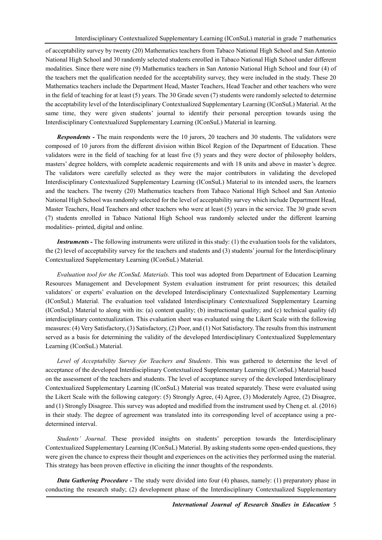of acceptability survey by twenty (20) Mathematics teachers from Tabaco National High School and San Antonio National High School and 30 randomly selected students enrolled in Tabaco National High School under different modalities. Since there were nine (9) Mathematics teachers in San Antonio National High School and four (4) of the teachers met the qualification needed for the acceptability survey, they were included in the study. These 20 Mathematics teachers include the Department Head, Master Teachers, Head Teacher and other teachers who were in the field of teaching for at least (5) years. The 30 Grade seven (7) students were randomly selected to determine the acceptability level of the Interdisciplinary Contextualized Supplementary Learning (IConSuL) Material. At the same time, they were given students' journal to identify their personal perception towards using the Interdisciplinary Contextualized Supplementary Learning (IConSuL) Material in learning.

*Respondents -* The main respondents were the 10 jurors, 20 teachers and 30 students. The validators were composed of 10 jurors from the different division within Bicol Region of the Department of Education. These validators were in the field of teaching for at least five (5) years and they were doctor of philosophy holders, masters' degree holders, with complete academic requirements and with 18 units and above in master's degree. The validators were carefully selected as they were the major contributors in validating the developed Interdisciplinary Contextualized Supplementary Learning (IConSuL) Material to its intended users, the learners and the teachers. The twenty (20) Mathematics teachers from Tabaco National High School and San Antonio National High School was randomly selected for the level of acceptability survey which include Department Head, Master Teachers, Head Teachers and other teachers who were at least (5) years in the service. The 30 grade seven (7) students enrolled in Tabaco National High School was randomly selected under the different learning modalities- printed, digital and online.

*Instruments -* The following instruments were utilized in this study: (1) the evaluation tools for the validators, the (2) level of acceptability survey for the teachers and students and (3) students' journal for the Interdisciplinary Contextualized Supplementary Learning (IConSuL) Material.

*Evaluation tool for the IConSuL Materials.* This tool was adopted from Department of Education Learning Resources Management and Development System evaluation instrument for print resources; this detailed validators' or experts' evaluation on the developed Interdisciplinary Contextualized Supplementary Learning (IConSuL) Material. The evaluation tool validated Interdisciplinary Contextualized Supplementary Learning (IConSuL) Material to along with its: (a) content quality; (b) instructional quality; and (c) technical quality (d) interdisciplinary contextualization. This evaluation sheet was evaluated using the Likert Scale with the following measures: (4) Very Satisfactory, (3) Satisfactory, (2) Poor, and (1) Not Satisfactory. The results from this instrument served as a basis for determining the validity of the developed Interdisciplinary Contextualized Supplementary Learning (IConSuL) Material.

*Level of Acceptability Survey for Teachers and Students*. This was gathered to determine the level of acceptance of the developed Interdisciplinary Contextualized Supplementary Learning (IConSuL) Material based on the assessment of the teachers and students. The level of acceptance survey of the developed Interdisciplinary Contextualized Supplementary Learning (IConSuL) Material was treated separately. These were evaluated using the Likert Scale with the following category: (5) Strongly Agree, (4) Agree, (3) Moderately Agree, (2) Disagree, and (1) Strongly Disagree. This survey was adopted and modified from the instrument used by Cheng et. al. (2016) in their study. The degree of agreement was translated into its corresponding level of acceptance using a predetermined interval.

*Students' Journal*. These provided insights on students' perception towards the Interdisciplinary Contextualized Supplementary Learning (IConSuL) Material. By asking students some open-ended questions, they were given the chance to express their thought and experiences on the activities they performed using the material. This strategy has been proven effective in eliciting the inner thoughts of the respondents.

*Data Gathering Procedure -* The study were divided into four (4) phases, namely: (1) preparatory phase in conducting the research study; (2) development phase of the Interdisciplinary Contextualized Supplementary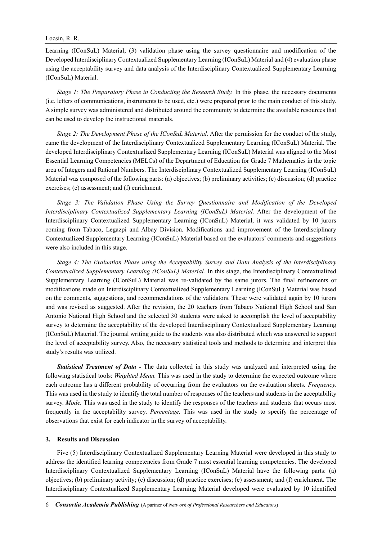Learning (IConSuL) Material; (3) validation phase using the survey questionnaire and modification of the Developed Interdisciplinary Contextualized Supplementary Learning (IConSuL) Material and (4) evaluation phase using the acceptability survey and data analysis of the Interdisciplinary Contextualized Supplementary Learning (IConSuL) Material.

*Stage 1: The Preparatory Phase in Conducting the Research Study.* In this phase, the necessary documents (i.e. letters of communications, instruments to be used, etc.) were prepared prior to the main conduct of this study. A simple survey was administered and distributed around the community to determine the available resources that can be used to develop the instructional materials.

*Stage 2: The Development Phase of the IConSuL Material*. After the permission for the conduct of the study, came the development of the Interdisciplinary Contextualized Supplementary Learning (IConSuL) Material. The developed Interdisciplinary Contextualized Supplementary Learning (IConSuL) Material was aligned to the Most Essential Learning Competencies (MELCs) of the Department of Education for Grade 7 Mathematics in the topic area of Integers and Rational Numbers. The Interdisciplinary Contextualized Supplementary Learning (IConSuL) Material was composed of the following parts: (a) objectives; (b) preliminary activities; (c) discussion; (d) practice exercises; (e) assessment; and (f) enrichment.

*Stage 3: The Validation Phase Using the Survey Questionnaire and Modification of the Developed Interdisciplinary Contextualized Supplementary Learning (IConSuL) Material.* After the development of the Interdisciplinary Contextualized Supplementary Learning (IConSuL) Material, it was validated by 10 jurors coming from Tabaco, Legazpi and Albay Division. Modifications and improvement of the Interdisciplinary Contextualized Supplementary Learning (IConSuL) Material based on the evaluators' comments and suggestions were also included in this stage.

*Stage 4: The Evaluation Phase using the Acceptability Survey and Data Analysis of the Interdisciplinary Contextualized Supplementary Learning (IConSuL) Material.* In this stage, the Interdisciplinary Contextualized Supplementary Learning (IConSuL) Material was re-validated by the same jurors. The final refinements or modifications made on Interdisciplinary Contextualized Supplementary Learning (IConSuL) Material was based on the comments, suggestions, and recommendations of the validators. These were validated again by 10 jurors and was revised as suggested. After the revision, the 20 teachers from Tabaco National High School and San Antonio National High School and the selected 30 students were asked to accomplish the level of acceptability survey to determine the acceptability of the developed Interdisciplinary Contextualized Supplementary Learning (IConSuL) Material. The journal writing guide to the students was also distributed which was answered to support the level of acceptability survey. Also, the necessary statistical tools and methods to determine and interpret this study's results was utilized.

*Statistical Treatment of Data -* The data collected in this study was analyzed and interpreted using the following statistical tools: *Weighted Mean.* This was used in the study to determine the expected outcome where each outcome has a different probability of occurring from the evaluators on the evaluation sheets. *Frequency.* This was used in the study to identify the total number of responses of the teachers and students in the acceptability survey. *Mode*. This was used in the study to identify the responses of the teachers and students that occurs most frequently in the acceptability survey. *Percentage.* This was used in the study to specify the percentage of observations that exist for each indicator in the survey of acceptability.

# **3. Results and Discussion**

Five (5) Interdisciplinary Contextualized Supplementary Learning Material were developed in this study to address the identified learning competencies from Grade 7 most essential learning competencies. The developed Interdisciplinary Contextualized Supplementary Learning (IConSuL) Material have the following parts: (a) objectives; (b) preliminary activity; (c) discussion; (d) practice exercises; (e) assessment; and (f) enrichment. The Interdisciplinary Contextualized Supplementary Learning Material developed were evaluated by 10 identified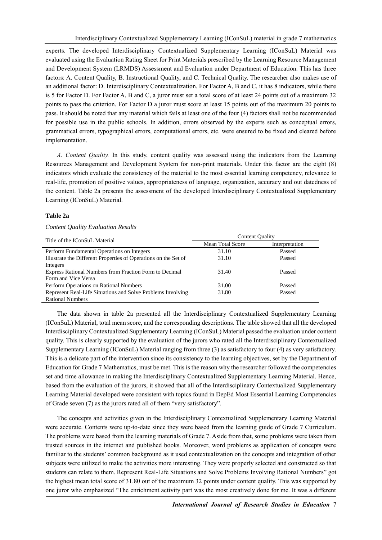experts. The developed Interdisciplinary Contextualized Supplementary Learning (IConSuL) Material was evaluated using the Evaluation Rating Sheet for Print Materials prescribed by the Learning Resource Management and Development System (LRMDS) Assessment and Evaluation under Department of Education. This has three factors: A. Content Quality, B. Instructional Quality, and C. Technical Quality. The researcher also makes use of an additional factor: D. Interdisciplinary Contextualization. For Factor A, B and C, it has 8 indicators, while there is 5 for Factor D. For Factor A, B and C, a juror must set a total score of at least 24 points out of a maximum 32 points to pass the criterion. For Factor D a juror must score at least 15 points out of the maximum 20 points to pass. It should be noted that any material which fails at least one of the four (4) factors shall not be recommended for possible use in the public schools. In addition, errors observed by the experts such as conceptual errors, grammatical errors, typographical errors, computational errors, etc. were ensured to be fixed and cleared before implementation.

*A. Content Quality.* In this study, content quality was assessed using the indicators from the Learning Resources Management and Development System for non-print materials. Under this factor are the eight (8) indicators which evaluate the consistency of the material to the most essential learning competency, relevance to real-life, promotion of positive values, appropriateness of language, organization, accuracy and out datedness of the content. Table 2a presents the assessment of the developed Interdisciplinary Contextualized Supplementary Learning (IConSuL) Material.

# **Table 2a**

### *Content Quality Evaluation Results*

| Title of the IConSuL Material                                   | <b>Content Quality</b> |                |  |  |  |
|-----------------------------------------------------------------|------------------------|----------------|--|--|--|
|                                                                 | Mean Total Score       | Interpretation |  |  |  |
| Perform Fundamental Operations on Integers                      | 31.10                  | Passed         |  |  |  |
| Illustrate the Different Properties of Operations on the Set of | 31.10                  | Passed         |  |  |  |
| Integers                                                        |                        |                |  |  |  |
| Express Rational Numbers from Fraction Form to Decimal          | 31.40                  | Passed         |  |  |  |
| Form and Vice Versa                                             |                        |                |  |  |  |
| Perform Operations on Rational Numbers                          | 31.00                  | Passed         |  |  |  |
| Represent Real-Life Situations and Solve Problems Involving     | 31.80                  | Passed         |  |  |  |
| <b>Rational Numbers</b>                                         |                        |                |  |  |  |

The data shown in table 2a presented all the Interdisciplinary Contextualized Supplementary Learning (IConSuL) Material, total mean score, and the corresponding descriptions. The table showed that all the developed Interdisciplinary Contextualized Supplementary Learning (IConSuL) Material passed the evaluation under content quality. This is clearly supported by the evaluation of the jurors who rated all the Interdisciplinary Contextualized Supplementary Learning (IConSuL) Material ranging from three (3) as satisfactory to four (4) as very satisfactory. This is a delicate part of the intervention since its consistency to the learning objectives, set by the Department of Education for Grade 7 Mathematics, must be met. This is the reason why the researcher followed the competencies set and time allowance in making the Interdisciplinary Contextualized Supplementary Learning Material. Hence, based from the evaluation of the jurors, it showed that all of the Interdisciplinary Contextualized Supplementary Learning Material developed were consistent with topics found in DepEd Most Essential Learning Competencies of Grade seven (7) as the jurors rated all of them "very satisfactory".

The concepts and activities given in the Interdisciplinary Contextualized Supplementary Learning Material were accurate. Contents were up-to-date since they were based from the learning guide of Grade 7 Curriculum. The problems were based from the learning materials of Grade 7. Aside from that, some problems were taken from trusted sources in the internet and published books. Moreover, word problems as application of concepts were familiar to the students' common background as it used contextualization on the concepts and integration of other subjects were utilized to make the activities more interesting. They were properly selected and constructed so that students can relate to them. Represent Real-Life Situations and Solve Problems Involving Rational Numbers" got the highest mean total score of 31.80 out of the maximum 32 points under content quality. This was supported by one juror who emphasized "The enrichment activity part was the most creatively done for me. It was a different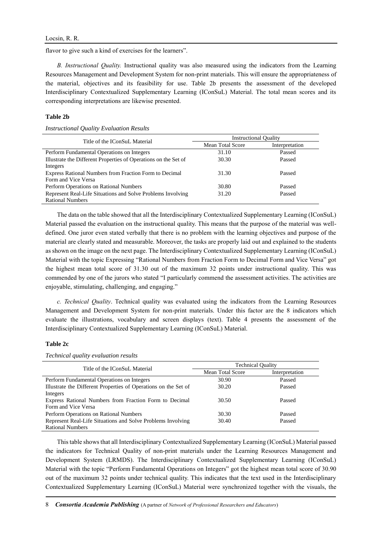flavor to give such a kind of exercises for the learners".

*B. Instructional Quality.* Instructional quality was also measured using the indicators from the Learning Resources Management and Development System for non-print materials. This will ensure the appropriateness of the material, objectives and its feasibility for use. Table 2b presents the assessment of the developed Interdisciplinary Contextualized Supplementary Learning (IConSuL) Material. The total mean scores and its corresponding interpretations are likewise presented.

### **Table 2b**

#### *Instructional Quality Evaluation Results*

| Title of the IConSuL Material                                   | <b>Instructional Quality</b> |                |  |  |  |
|-----------------------------------------------------------------|------------------------------|----------------|--|--|--|
|                                                                 | Mean Total Score             | Interpretation |  |  |  |
| Perform Fundamental Operations on Integers                      | 31.10                        | Passed         |  |  |  |
| Illustrate the Different Properties of Operations on the Set of | 30.30                        | Passed         |  |  |  |
| Integers                                                        |                              |                |  |  |  |
| Express Rational Numbers from Fraction Form to Decimal          | 31.30                        | Passed         |  |  |  |
| Form and Vice Versa                                             |                              |                |  |  |  |
| Perform Operations on Rational Numbers                          | 30.80                        | Passed         |  |  |  |
| Represent Real-Life Situations and Solve Problems Involving     | 31.20                        | Passed         |  |  |  |
| <b>Rational Numbers</b>                                         |                              |                |  |  |  |

The data on the table showed that all the Interdisciplinary Contextualized Supplementary Learning (IConSuL) Material passed the evaluation on the instructional quality. This means that the purpose of the material was welldefined. One juror even stated verbally that there is no problem with the learning objectives and purpose of the material are clearly stated and measurable. Moreover, the tasks are properly laid out and explained to the students as shown on the image on the next page. The Interdisciplinary Contextualized Supplementary Learning (IConSuL) Material with the topic Expressing "Rational Numbers from Fraction Form to Decimal Form and Vice Versa" got the highest mean total score of 31.30 out of the maximum 32 points under instructional quality. This was commended by one of the jurors who stated "I particularly commend the assessment activities. The activities are enjoyable, stimulating, challenging, and engaging."

*c. Technical Quality*. Technical quality was evaluated using the indicators from the Learning Resources Management and Development System for non-print materials. Under this factor are the 8 indicators which evaluate the illustrations, vocabulary and screen displays (text). Table 4 presents the assessment of the Interdisciplinary Contextualized Supplementary Learning (IConSuL) Material.

### **Table 2c**

# *Technical quality evaluation results*

| Title of the IConSuL Material                                   | <b>Technical Quality</b> |                |  |  |  |
|-----------------------------------------------------------------|--------------------------|----------------|--|--|--|
|                                                                 | Mean Total Score         | Interpretation |  |  |  |
| Perform Fundamental Operations on Integers                      | 30.90                    | Passed         |  |  |  |
| Illustrate the Different Properties of Operations on the Set of | 30.20                    | Passed         |  |  |  |
| Integers                                                        |                          |                |  |  |  |
| Express Rational Numbers from Fraction Form to Decimal          | 30.50                    | Passed         |  |  |  |
| Form and Vice Versa                                             |                          |                |  |  |  |
| Perform Operations on Rational Numbers                          | 30.30                    | Passed         |  |  |  |
| Represent Real-Life Situations and Solve Problems Involving     | 30.40                    | Passed         |  |  |  |
| <b>Rational Numbers</b>                                         |                          |                |  |  |  |

This table shows that all Interdisciplinary Contextualized Supplementary Learning (IConSuL) Material passed the indicators for Technical Quality of non-print materials under the Learning Resources Management and Development System (LRMDS). The Interdisciplinary Contextualized Supplementary Learning (IConSuL) Material with the topic "Perform Fundamental Operations on Integers" got the highest mean total score of 30.90 out of the maximum 32 points under technical quality. This indicates that the text used in the Interdisciplinary Contextualized Supplementary Learning (IConSuL) Material were synchronized together with the visuals, the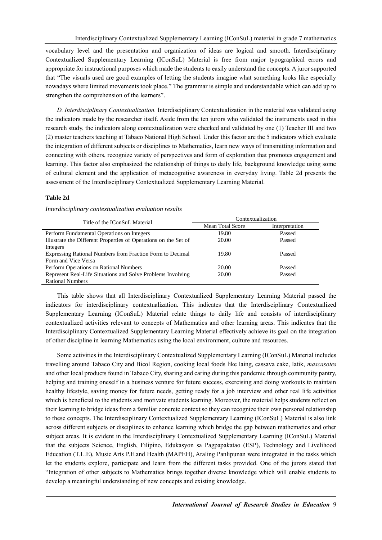vocabulary level and the presentation and organization of ideas are logical and smooth. Interdisciplinary Contextualized Supplementary Learning (IConSuL) Material is free from major typographical errors and appropriate for instructional purposes which made the students to easily understand the concepts. A juror supported that "The visuals used are good examples of letting the students imagine what something looks like especially nowadays where limited movements took place." The grammar is simple and understandable which can add up to strengthen the comprehension of the learners".

*D. Interdisciplinary Contextualization.* Interdisciplinary Contextualization in the material was validated using the indicators made by the researcher itself. Aside from the ten jurors who validated the instruments used in this research study, the indicators along contextualization were checked and validated by one (1) Teacher III and two (2) master teachers teaching at Tabaco National High School. Under this factor are the 5 indicators which evaluate the integration of different subjects or disciplines to Mathematics, learn new ways of transmitting information and connecting with others, recognize variety of perspectives and form of exploration that promotes engagement and learning. This factor also emphasized the relationship of things to daily life, background knowledge using some of cultural element and the application of metacognitive awareness in everyday living. Table 2d presents the assessment of the Interdisciplinary Contextualized Supplementary Learning Material.

# **Table 2d**

| Title of the IConSuL Material                                   | Contextualization |                |  |  |  |
|-----------------------------------------------------------------|-------------------|----------------|--|--|--|
|                                                                 | Mean Total Score  | Interpretation |  |  |  |
| Perform Fundamental Operations on Integers                      | 19.80             | Passed         |  |  |  |
| Illustrate the Different Properties of Operations on the Set of | 20.00             | Passed         |  |  |  |
| Integers                                                        |                   |                |  |  |  |
| Expressing Rational Numbers from Fraction Form to Decimal       | 19.80             | Passed         |  |  |  |
| Form and Vice Versa                                             |                   |                |  |  |  |
| Perform Operations on Rational Numbers                          | 20.00             | Passed         |  |  |  |
| Represent Real-Life Situations and Solve Problems Involving     | 20.00             | Passed         |  |  |  |
| <b>Rational Numbers</b>                                         |                   |                |  |  |  |

### *Interdisciplinary contextualization evaluation results*

This table shows that all Interdisciplinary Contextualized Supplementary Learning Material passed the indicators for interdisciplinary contextualization. This indicates that the Interdisciplinary Contextualized Supplementary Learning (IConSuL) Material relate things to daily life and consists of interdisciplinary contextualized activities relevant to concepts of Mathematics and other learning areas. This indicates that the Interdisciplinary Contextualized Supplementary Learning Material effectively achieve its goal on the integration of other discipline in learning Mathematics using the local environment, culture and resources.

Some activities in the Interdisciplinary Contextualized Supplementary Learning (IConSuL) Material includes travelling around Tabaco City and Bicol Region, cooking local foods like laing, cassava cake, latik, *mascasotes* and other local products found in Tabaco City, sharing and caring during this pandemic through community pantry, helping and training oneself in a business venture for future success, exercising and doing workouts to maintain healthy lifestyle, saving money for future needs, getting ready for a job interview and other real life activities which is beneficial to the students and motivate students learning. Moreover, the material helps students reflect on their learning to bridge ideas from a familiar concrete context so they can recognize their own personal relationship to these concepts. The Interdisciplinary Contextualized Supplementary Learning (IConSuL) Material is also link across different subjects or disciplines to enhance learning which bridge the gap between mathematics and other subject areas. It is evident in the Interdisciplinary Contextualized Supplementary Learning (IConSuL) Material that the subjects Science, English, Filipino, Edukasyon sa Pagpapakatao (ESP), Technology and Livelihood Education (T.L.E), Music Arts P.E.and Health (MAPEH), Araling Panlipunan were integrated in the tasks which let the students explore, participate and learn from the different tasks provided. One of the jurors stated that "Integration of other subjects to Mathematics brings together diverse knowledge which will enable students to develop a meaningful understanding of new concepts and existing knowledge.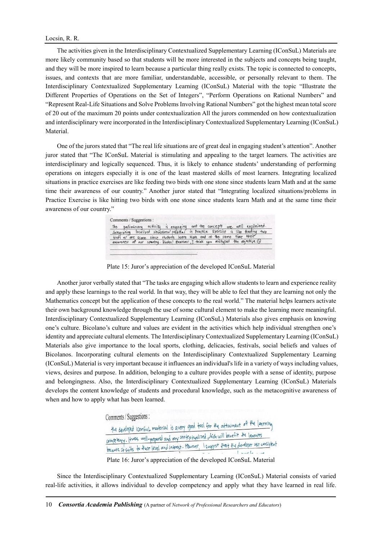The activities given in the Interdisciplinary Contextualized Supplementary Learning (IConSuL) Materials are more likely community based so that students will be more interested in the subjects and concepts being taught, and they will be more inspired to learn because a particular thing really exists. The topic is connected to concepts, issues, and contexts that are more familiar, understandable, accessible, or personally relevant to them. The Interdisciplinary Contextualized Supplementary Learning (IConSuL) Material with the topic "Illustrate the Different Properties of Operations on the Set of Integers", "Perform Operations on Rational Numbers" and "Represent Real-Life Situations and Solve Problems Involving Rational Numbers" got the highest mean total score of 20 out of the maximum 20 points under contextualization All the jurors commended on how contextualization and interdisciplinary were incorporated in the Interdisciplinary Contextualized Supplementary Learning (IConSuL) Material.

One of the jurors stated that "The real life situations are of great deal in engaging student's attention". Another juror stated that "The IConSuL Material is stimulating and appealing to the target learners. The activities are interdisciplinary and logically sequenced. Thus, it is likely to enhance students' understanding of performing operations on integers especially it is one of the least mastered skills of most learners. Integrating localized situations in practice exercises are like feeding two birds with one stone since students learn Math and at the same time their awareness of our country." Another juror stated that "Integrating localized situations/problems in Practice Exercise is like hitting two birds with one stone since students learn Math and at the same time their awareness of our country."

|  |  | The preliminary activity is engaging and the concepts are well explained.<br>Thitagrating localized situations/problems in Practice Exercise is like feeding two<br>birds w/one scone since students team Math and at the same time |  |
|--|--|-------------------------------------------------------------------------------------------------------------------------------------------------------------------------------------------------------------------------------------|--|
|  |  |                                                                                                                                                                                                                                     |  |
|  |  |                                                                                                                                                                                                                                     |  |

Plate 15: Juror's appreciation of the developed IConSuL Material

Another juror verbally stated that "The tasks are engaging which allow students to learn and experience reality and apply these learnings to the real world. In that way, they will be able to feel that they are learning not only the Mathematics concept but the application of these concepts to the real world." The material helps learners activate their own background knowledge through the use of some cultural element to make the learning more meaningful. Interdisciplinary Contextualized Supplementary Learning (IConSuL) Materials also gives emphasis on knowing one's culture. Bicolano's culture and values are evident in the activities which help individual strengthen one's identity and appreciate cultural elements. The Interdisciplinary Contextualized Supplementary Learning (IConSuL) Materials also give importance to the local sports, clothing, delicacies, festivals, social beliefs and values of Bicolanos. Incorporating cultural elements on the Interdisciplinary Contextualized Supplementary Learning (IConSuL) Material is very important because it influences an individual's life in a variety of ways including values, views, desires and purpose. In addition, belonging to a culture provides people with a sense of identity, purpose and belongingness. Also, the Interdisciplinary Contextualized Supplementary Learning (IConSuL) Materials develops the content knowledge of students and procedural knowledge, such as the metacognitive awareness of when and how to apply what has been learned.

> Comments / Suggestions : the developed Iconsul material is avery good tool for the attainment of the learning The developed iconsul material is due of your intervalsed which will benefit the learners<br>competency. Howas well-propared and very contextualized which will benefit the learners Comprising. House writing paparo and his erg ... Hourver, I suggest that the developer use consistent Plate 16: Juror's appreciation of the developed IConSuL Material

Since the Interdisciplinary Contextualized Supplementary Learning (IConSuL) Material consists of varied real-life activities, it allows individual to develop competency and apply what they have learned in real life.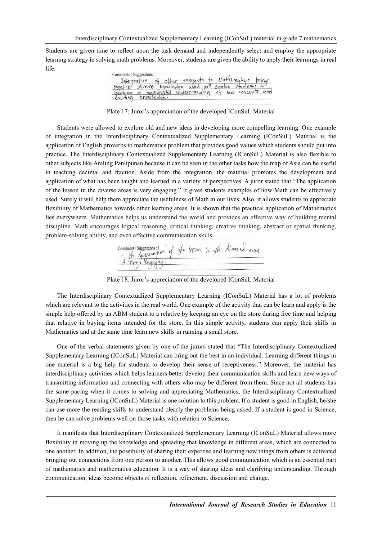Students are given time to reflect upon the task demand and independently select and employ the appropriate learning strategy in solving math problems. Moreover, students are given the ability to apply their learnings in real life.

| Comments / Suggestions :                                                                                                                   |                                                     |  |  |  |  |  |
|--------------------------------------------------------------------------------------------------------------------------------------------|-----------------------------------------------------|--|--|--|--|--|
|                                                                                                                                            | Integration of other inbjects to Mathematics brings |  |  |  |  |  |
| together diverse knowledge which will enable students to<br>develop of neaningful understanding of new concepts and<br>existing knowledge. |                                                     |  |  |  |  |  |
|                                                                                                                                            |                                                     |  |  |  |  |  |
|                                                                                                                                            |                                                     |  |  |  |  |  |

Plate 17: Juror's appreciation of the developed IConSuL Material

Students were allowed to explore old and new ideas in developing more compelling learning. One example of integration in the Interdisciplinary Contextualized Supplementary Learning (IConSuL) Material is the application of English proverbs to mathematics problem that provides good values which students should put into practice. The Interdisciplinary Contextualized Supplementary Learning (IConSuL) Material is also flexible to other subjects like Araling Panlipunan because it can be seen in the other tasks how the map of Asia can be useful in teaching decimal and fraction. Aside from the integration, the material promotes the development and application of what has been taught and learned in a variety of perspectives. A juror stated that "The application of the lesson in the diverse areas is very engaging." It gives students examples of how Math can be effectively used. Surely it will help them appreciate the usefulness of Math in our lives. Also, it allows students to appreciate flexibility of Mathematics towards other learning areas. It is shown that the practical application of Mathematics lies everywhere. Mathematics helps us understand the world and provides an effective way of building mental discipline. Math encourages logical reasoning, critical thinking, creative thinking, abstract or spatial thinking, problem-solving ability, and even effective communication skills.

comments/suggestions: in of the legron in the livered avenue

Plate 18: Juror's appreciation of the developed IConSuL Material

The Interdisciplinary Contextualized Supplementary Learning (IConSuL) Material has a lot of problems which are relevant to the activities in the real world. One example of the activity that can be learn and apply is the simple help offered by an ABM student to a relative by keeping an eye on the store during free time and helping that relative in buying items intended for the store. In this simple activity, students can apply their skills in Mathematics and at the same time learn new skills in running a small store.

One of the verbal statements given by one of the jurors stated that "The Interdisciplinary Contextualized Supplementary Learning (IConSuL) Material can bring out the best in an individual. Learning different things in one material is a big help for students to develop their sense of receptiveness." Moreover, the material has interdisciplinary activities which helps learners better develop their communication skills and learn new ways of transmitting information and connecting with others who may be different from them. Since not all students has the same pacing when it comes to solving and appreciating Mathematics, the Interdisciplinary Contextualized Supplementary Learning (IConSuL) Material is one solution to this problem. If a student is good in English, he/she can use more the reading skills to understand clearly the problems being asked. If a student is good in Science, then he can solve problems well on those tasks with relation to Science.

It manifests that Interdisciplinary Contextualized Supplementary Learning (IConSuL) Material allows more flexibility in moving up the knowledge and spreading that knowledge in different areas, which are connected to one another. In addition, the possibility of sharing their expertise and learning new things from others is activated bringing out connections from one person to another. This allows good communication which is an essential part of mathematics and mathematics education. It is a way of sharing ideas and clarifying understanding. Through communication, ideas become objects of reflection, refinement, discussion and change.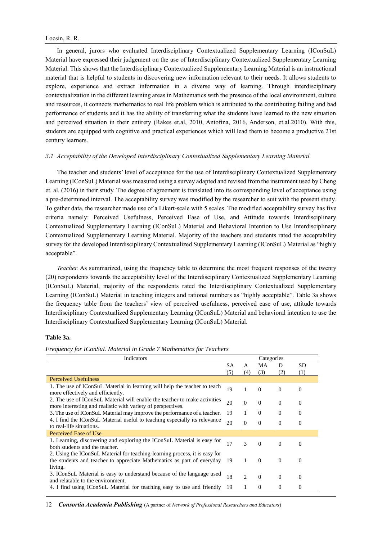In general, jurors who evaluated Interdisciplinary Contextualized Supplementary Learning (IConSuL) Material have expressed their judgement on the use of Interdisciplinary Contextualized Supplementary Learning Material. This shows that the Interdisciplinary Contextualized Supplementary Learning Material is an instructional material that is helpful to students in discovering new information relevant to their needs. It allows students to explore, experience and extract information in a diverse way of learning. Through interdisciplinary contextualization in the different learning areas in Mathematics with the presence of the local environment, culture and resources, it connects mathematics to real life problem which is attributed to the contributing failing and bad performance of students and it has the ability of transferring what the students have learned to the new situation and perceived situation in their entirety (Rakes et.al, 2010, Antofina, 2016, Anderson, et.al.2010). With this, students are equipped with cognitive and practical experiences which will lead them to become a productive 21st century learners.

### *3.1 Acceptability of the Developed Interdisciplinary Contextualized Supplementary Learning Material*

The teacher and students' level of acceptance for the use of Interdisciplinary Contextualized Supplementary Learning (IConSuL) Material was measured using a survey adapted and revised from the instrument used by Cheng et. al. (2016) in their study. The degree of agreement is translated into its corresponding level of acceptance using a pre-determined interval. The acceptability survey was modified by the researcher to suit with the present study. To gather data, the researcher made use of a Likert-scale with 5 scales. The modified acceptability survey has five criteria namely: Perceived Usefulness, Perceived Ease of Use, and Attitude towards Interdisciplinary Contextualized Supplementary Learning (IConSuL) Material and Behavioral Intention to Use Interdisciplinary Contextualized Supplementary Learning Material. Majority of the teachers and students rated the acceptability survey for the developed Interdisciplinary Contextualized Supplementary Learning (IConSuL) Material as "highly acceptable".

*Teacher.* As summarized, using the frequency table to determine the most frequent responses of the twenty (20) respondents towards the acceptability level of the Interdisciplinary Contextualized Supplementary Learning (IConSuL) Material, majority of the respondents rated the Interdisciplinary Contextualized Supplementary Learning (IConSuL) Material in teaching integers and rational numbers as "highly acceptable". Table 3a shows the frequency table from the teachers' view of perceived usefulness, perceived ease of use, attitude towards Interdisciplinary Contextualized Supplementary Learning (IConSuL) Material and behavioral intention to use the Interdisciplinary Contextualized Supplementary Learning (IConSuL) Material.

## **Table 3a.**

*Frequency for IConSuL Material in Grade 7 Mathematics for Teachers* 

| Indicators                                                                  |     |                | Categories |          |          |
|-----------------------------------------------------------------------------|-----|----------------|------------|----------|----------|
|                                                                             | SА  | A              | MA         | D        | SD       |
|                                                                             | (5) | (4)            | (3)        | (2)      | (1)      |
| <b>Perceived Usefulness</b>                                                 |     |                |            |          |          |
| 1. The use of IConSuL Material in learning will help the teacher to teach   | 19  | 1              | $\Omega$   | $\Omega$ | $\Omega$ |
| more effectively and efficiently.                                           |     |                |            |          |          |
| 2. The use of IConSuL Material will enable the teacher to make activities   | 20  | $\Omega$       | $\theta$   | $\theta$ | $\Omega$ |
| more interesting and realistic with variety of perspectives.                |     |                |            |          |          |
| 3. The use of IConSuL Material may improve the performance of a teacher.    | 19  | 1              | $\Omega$   | $\Omega$ | $\Omega$ |
| 4. I find the IConSuL Material useful to teaching especially its relevance  | 20  | $\Omega$       | $\Omega$   | $\Omega$ | 0        |
| to real-life situations.                                                    |     |                |            |          |          |
| Perceived Ease of Use                                                       |     |                |            |          |          |
| 1. Learning, discovering and exploring the IConSuL Material is easy for     | 17  | $\mathcal{R}$  | $\Omega$   | $\Omega$ | 0        |
| both students and the teacher.                                              |     |                |            |          |          |
| 2. Using the IConSuL Material for teaching-learning process, it is easy for |     |                |            |          |          |
| the students and teacher to appreciate Mathematics as part of everyday      | -19 | 1              | $\Omega$   | $\theta$ | 0        |
| living.                                                                     |     |                |            |          |          |
| 3. IConSuL Material is easy to understand because of the language used      | 18  | $\mathfrak{D}$ | $\Omega$   | $\Omega$ | 0        |
| and relatable to the environment.                                           |     |                |            |          |          |
| 4. I find using IConSuL Material for teaching easy to use and friendly      | 19  |                | $\Omega$   | $\theta$ | 0        |

12 *Consortia Academia Publishing* (A partner of *Network of Professional Researchers and Educators*)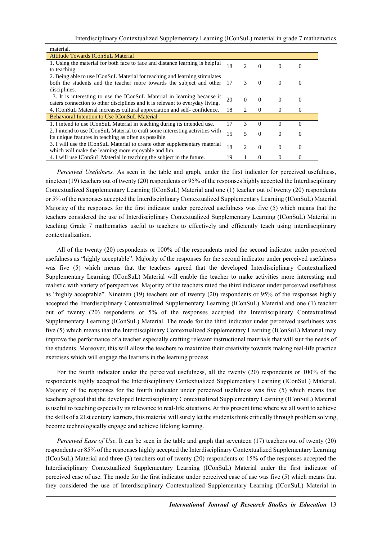| material.                                                                                                                                                |     |                |          |          |          |
|----------------------------------------------------------------------------------------------------------------------------------------------------------|-----|----------------|----------|----------|----------|
| <b>Attitude Towards IConSuL Material</b>                                                                                                                 |     |                |          |          |          |
| 1. Using the material for both face to face and distance learning is helpful<br>to teaching.                                                             | 18  | 2              | $\Omega$ | $\Omega$ | 0        |
| 2. Being able to use IConSuL Material for teaching and learning stimulates                                                                               |     |                |          |          |          |
| both the students and the teacher more towards the subject and other<br>disciplines.                                                                     | -17 | 3              | $\Omega$ | $\Omega$ | $\theta$ |
| 3. It is interesting to use the IConSuL Material in learning because it<br>caters connection to other disciplines and it is relevant to everyday living. | 20  | $\Omega$       | $\Omega$ | $\Omega$ | 0        |
| 4. IConSuL Material increases cultural appreciation and self-confidence.                                                                                 | 18  | 2              | $\theta$ | $\Omega$ | 0        |
| <b>Behavioral Intention to Use IConSuL Material</b>                                                                                                      |     |                |          |          |          |
| 1. I intend to use IConSuL Material in teaching during its intended use.                                                                                 | 17  | 3              | $\Omega$ | $\Omega$ | $\Omega$ |
| 2. I intend to use IConSuL Material to craft some interesting activities with<br>its unique features in teaching as often as possible.                   | 15  | 5              | $\Omega$ | $\Omega$ | $\Omega$ |
| 3. I will use the IConSuL Material to create other supplementary material<br>which will make the learning more enjoyable and fun.                        | 18  | $\mathfrak{D}$ | $\Omega$ | $\Omega$ | $\Omega$ |
| 4. I will use IConSuL Material in teaching the subject in the future.                                                                                    | 19  |                | 0        | $\Omega$ | 0        |

*Perceived Usefulness.* As seen in the table and graph, under the first indicator for perceived usefulness, nineteen (19) teachers out of twenty (20) respondents or 95% of the responses highly accepted the Interdisciplinary Contextualized Supplementary Learning (IConSuL) Material and one (1) teacher out of twenty (20) respondents or 5% of the responses accepted the Interdisciplinary Contextualized Supplementary Learning (IConSuL) Material. Majority of the responses for the first indicator under perceived usefulness was five (5) which means that the teachers considered the use of Interdisciplinary Contextualized Supplementary Learning (IConSuL) Material in teaching Grade 7 mathematics useful to teachers to effectively and efficiently teach using interdisciplinary contextualization.

All of the twenty (20) respondents or 100% of the respondents rated the second indicator under perceived usefulness as "highly acceptable". Majority of the responses for the second indicator under perceived usefulness was five (5) which means that the teachers agreed that the developed Interdisciplinary Contextualized Supplementary Learning (IConSuL) Material will enable the teacher to make activities more interesting and realistic with variety of perspectives. Majority of the teachers rated the third indicator under perceived usefulness as "highly acceptable". Nineteen (19) teachers out of twenty (20) respondents or 95% of the responses highly accepted the Interdisciplinary Contextualized Supplementary Learning (IConSuL) Material and one (1) teacher out of twenty (20) respondents or 5% of the responses accepted the Interdisciplinary Contextualized Supplementary Learning (IConSuL) Material. The mode for the third indicator under perceived usefulness was five (5) which means that the Interdisciplinary Contextualized Supplementary Learning (IConSuL) Material may improve the performance of a teacher especially crafting relevant instructional materials that will suit the needs of the students. Moreover, this will allow the teachers to maximize their creativity towards making real-life practice exercises which will engage the learners in the learning process.

For the fourth indicator under the perceived usefulness, all the twenty (20) respondents or 100% of the respondents highly accepted the Interdisciplinary Contextualized Supplementary Learning (IConSuL) Material. Majority of the responses for the fourth indicator under perceived usefulness was five (5) which means that teachers agreed that the developed Interdisciplinary Contextualized Supplementary Learning (IConSuL) Material is useful to teaching especially its relevance to real-life situations. At this present time where we all want to achieve the skills of a 21st century learners, this material will surely let the students think critically through problem solving, become technologically engage and achieve lifelong learning.

*Perceived Ease of Use*. It can be seen in the table and graph that seventeen (17) teachers out of twenty (20) respondents or 85% of the responses highly accepted the Interdisciplinary Contextualized Supplementary Learning (IConSuL) Material and three (3) teachers out of twenty (20) respondents or 15% of the responses accepted the Interdisciplinary Contextualized Supplementary Learning (IConSuL) Material under the first indicator of perceived ease of use. The mode for the first indicator under perceived ease of use was five (5) which means that they considered the use of Interdisciplinary Contextualized Supplementary Learning (IConSuL) Material in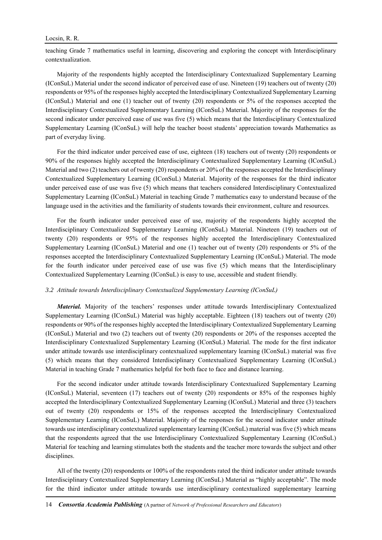#### Locsin, R. R.

teaching Grade 7 mathematics useful in learning, discovering and exploring the concept with Interdisciplinary contextualization.

Majority of the respondents highly accepted the Interdisciplinary Contextualized Supplementary Learning (IConSuL) Material under the second indicator of perceived ease of use. Nineteen (19) teachers out of twenty (20) respondents or 95% of the responses highly accepted the Interdisciplinary Contextualized Supplementary Learning (IConSuL) Material and one (1) teacher out of twenty (20) respondents or 5% of the responses accepted the Interdisciplinary Contextualized Supplementary Learning (IConSuL) Material. Majority of the responses for the second indicator under perceived ease of use was five (5) which means that the Interdisciplinary Contextualized Supplementary Learning (IConSuL) will help the teacher boost students' appreciation towards Mathematics as part of everyday living.

For the third indicator under perceived ease of use, eighteen (18) teachers out of twenty (20) respondents or 90% of the responses highly accepted the Interdisciplinary Contextualized Supplementary Learning (IConSuL) Material and two (2) teachers out of twenty (20) respondents or 20% of the responses accepted the Interdisciplinary Contextualized Supplementary Learning (IConSuL) Material. Majority of the responses for the third indicator under perceived ease of use was five (5) which means that teachers considered Interdisciplinary Contextualized Supplementary Learning (IConSuL) Material in teaching Grade 7 mathematics easy to understand because of the language used in the activities and the familiarity of students towards their environment, culture and resources.

For the fourth indicator under perceived ease of use, majority of the respondents highly accepted the Interdisciplinary Contextualized Supplementary Learning (IConSuL) Material. Nineteen (19) teachers out of twenty (20) respondents or 95% of the responses highly accepted the Interdisciplinary Contextualized Supplementary Learning (IConSuL) Material and one (1) teacher out of twenty (20) respondents or 5% of the responses accepted the Interdisciplinary Contextualized Supplementary Learning (IConSuL) Material. The mode for the fourth indicator under perceived ease of use was five (5) which means that the Interdisciplinary Contextualized Supplementary Learning (IConSuL) is easy to use, accessible and student friendly.

## *3.2 Attitude towards Interdisciplinary Contextualized Supplementary Learning (IConSuL)*

*Material.* Majority of the teachers' responses under attitude towards Interdisciplinary Contextualized Supplementary Learning (IConSuL) Material was highly acceptable. Eighteen (18) teachers out of twenty (20) respondents or 90% of the responses highly accepted the Interdisciplinary Contextualized Supplementary Learning (IConSuL) Material and two (2) teachers out of twenty (20) respondents or 20% of the responses accepted the Interdisciplinary Contextualized Supplementary Learning (IConSuL) Material. The mode for the first indicator under attitude towards use interdisciplinary contextualized supplementary learning (IConSuL) material was five (5) which means that they considered Interdisciplinary Contextualized Supplementary Learning (IConSuL) Material in teaching Grade 7 mathematics helpful for both face to face and distance learning.

For the second indicator under attitude towards Interdisciplinary Contextualized Supplementary Learning (IConSuL) Material, seventeen (17) teachers out of twenty (20) respondents or 85% of the responses highly accepted the Interdisciplinary Contextualized Supplementary Learning (IConSuL) Material and three (3) teachers out of twenty (20) respondents or 15% of the responses accepted the Interdisciplinary Contextualized Supplementary Learning (IConSuL) Material. Majority of the responses for the second indicator under attitude towards use interdisciplinary contextualized supplementary learning (IConSuL) material was five (5) which means that the respondents agreed that the use Interdisciplinary Contextualized Supplementary Learning (IConSuL) Material for teaching and learning stimulates both the students and the teacher more towards the subject and other disciplines.

All of the twenty (20) respondents or 100% of the respondents rated the third indicator under attitude towards Interdisciplinary Contextualized Supplementary Learning (IConSuL) Material as "highly acceptable". The mode for the third indicator under attitude towards use interdisciplinary contextualized supplementary learning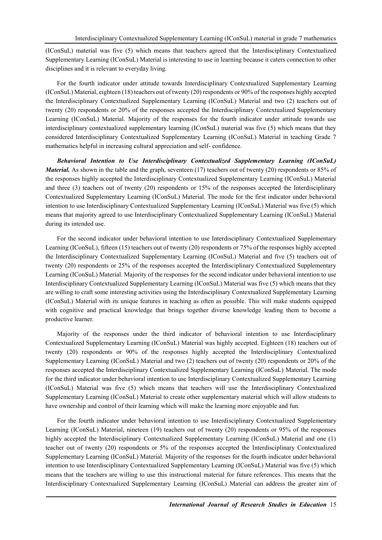(IConSuL) material was five (5) which means that teachers agreed that the Interdisciplinary Contextualized Supplementary Learning (IConSuL) Material is interesting to use in learning because it caters connection to other disciplines and it is relevant to everyday living.

For the fourth indicator under attitude towards Interdisciplinary Contextualized Supplementary Learning (IConSuL) Material, eighteen (18) teachers out of twenty (20) respondents or 90% of the responses highly accepted the Interdisciplinary Contextualized Supplementary Learning (IConSuL) Material and two (2) teachers out of twenty (20) respondents or 20% of the responses accepted the Interdisciplinary Contextualized Supplementary Learning (IConSuL) Material. Majority of the responses for the fourth indicator under attitude towards use interdisciplinary contextualized supplementary learning (IConSuL) material was five (5) which means that they considered Interdisciplinary Contextualized Supplementary Learning (IConSuL) Material in teaching Grade 7 mathematics helpful in increasing cultural appreciation and self- confidence.

*Behavioral Intention to Use Interdisciplinary Contextualized Supplementary Learning (IConSuL) Material.* As shown in the table and the graph, seventeen (17) teachers out of twenty (20) respondents or 85% of the responses highly accepted the Interdisciplinary Contextualized Supplementary Learning (IConSuL) Material and three (3) teachers out of twenty (20) respondents or 15% of the responses accepted the Interdisciplinary Contextualized Supplementary Learning (IConSuL) Material. The mode for the first indicator under behavioral intention to use Interdisciplinary Contextualized Supplementary Learning (IConSuL) Material was five (5) which means that majority agreed to use Interdisciplinary Contextualized Supplementary Learning (IConSuL) Material during its intended use.

For the second indicator under behavioral intention to use Interdisciplinary Contextualized Supplementary Learning (IConSuL), fifteen (15) teachers out of twenty (20) respondents or 75% of the responses highly accepted the Interdisciplinary Contextualized Supplementary Learning (IConSuL) Material and five (5) teachers out of twenty (20) respondents or 25% of the responses accepted the Interdisciplinary Contextualized Supplementary Learning (IConSuL) Material. Majority of the responses for the second indicator under behavioral intention to use Interdisciplinary Contextualized Supplementary Learning (IConSuL) Material was five (5) which means that they are willing to craft some interesting activities using the Interdisciplinary Contextualized Supplementary Learning (IConSuL) Material with its unique features in teaching as often as possible. This will make students equipped with cognitive and practical knowledge that brings together diverse knowledge leading them to become a productive learner.

Majority of the responses under the third indicator of behavioral intention to use Interdisciplinary Contextualized Supplementary Learning (IConSuL) Material was highly accepted. Eighteen (18) teachers out of twenty (20) respondents or 90% of the responses highly accepted the Interdisciplinary Contextualized Supplementary Learning (IConSuL) Material and two (2) teachers out of twenty (20) respondents or 20% of the responses accepted the Interdisciplinary Contextualized Supplementary Learning (IConSuL) Material. The mode for the third indicator under behavioral intention to use Interdisciplinary Contextualized Supplementary Learning (IConSuL) Material was five (5) which means that teachers will use the Interdisciplinary Contextualized Supplementary Learning (IConSuL) Material to create other supplementary material which will allow students to have ownership and control of their learning which will make the learning more enjoyable and fun.

For the fourth indicator under behavioral intention to use Interdisciplinary Contextualized Supplementary Learning (IConSuL) Material, nineteen (19) teachers out of twenty (20) respondents or 95% of the responses highly accepted the Interdisciplinary Contextualized Supplementary Learning (IConSuL) Material and one (1) teacher out of twenty (20) respondents or 5% of the responses accepted the Interdisciplinary Contextualized Supplementary Learning (IConSuL) Material. Majority of the responses for the fourth indicator under behavioral intention to use Interdisciplinary Contextualized Supplementary Learning (IConSuL) Material was five (5) which means that the teachers are willing to use this instructional material for future references. This means that the Interdisciplinary Contextualized Supplementary Learning (IConSuL) Material can address the greater aim of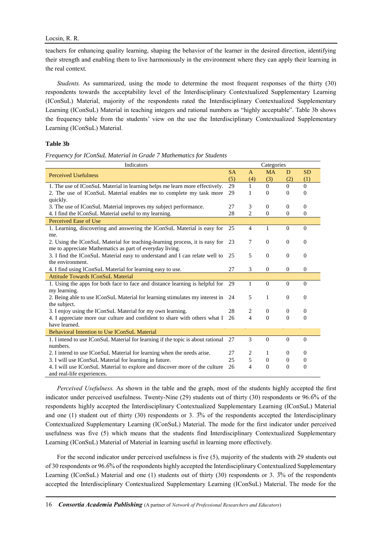teachers for enhancing quality learning, shaping the behavior of the learner in the desired direction, identifying their strength and enabling them to live harmoniously in the environment where they can apply their learning in the real context.

*Students.* As summarized, using the mode to determine the most frequent responses of the thirty (30) respondents towards the acceptability level of the Interdisciplinary Contextualized Supplementary Learning (IConSuL) Material, majority of the respondents rated the Interdisciplinary Contextualized Supplementary Learning (IConSuL) Material in teaching integers and rational numbers as "highly acceptable". Table 3b shows the frequency table from the students' view on the use the Interdisciplinary Contextualized Supplementary Learning (IConSuL) Material.

### **Table 3b**

*Frequency for IConSuL Material in Grade 7 Mathematics for Students* 

| Indicators                                                                      |           |                          | Categories   |                |                |
|---------------------------------------------------------------------------------|-----------|--------------------------|--------------|----------------|----------------|
| <b>Perceived Usefulness</b>                                                     | <b>SA</b> | $\mathsf{A}$             | <b>MA</b>    | D              | <b>SD</b>      |
|                                                                                 | (5)       | (4)                      | (3)          | (2)            | (1)            |
| 1. The use of IConSuL Material in learning helps me learn more effectively.     | 29        | $\mathbf{1}$             | $\Omega$     | $\Omega$       | $\Omega$       |
| 2. The use of IConSuL Material enables me to complete my task more              | 29        | 1                        | $\theta$     | $\Omega$       | $\theta$       |
| quickly.                                                                        |           |                          |              |                |                |
| 3. The use of IConSuL Material improves my subject performance.                 | 27        | 3                        | $\mathbf{0}$ | $\Omega$       | $\Omega$       |
| 4. I find the IConSuL Material useful to my learning.                           | 28        | $\overline{c}$           | $\mathbf{0}$ | $\mathbf{0}$   | $\overline{0}$ |
| Perceived Ease of Use                                                           |           |                          |              |                |                |
| 1. Learning, discovering and answering the IConSuL Material is easy for         | 25        | $\overline{4}$           | 1            | $\Omega$       | $\Omega$       |
| me.                                                                             |           |                          |              |                |                |
| 2. Using the IConSuL Material for teaching-learning process, it is easy for 23  |           | 7                        | $\mathbf{0}$ | $\mathbf{0}$   | $\overline{0}$ |
| me to appreciate Mathematics as part of everyday living.                        |           |                          |              |                |                |
| 3. I find the IConSuL Material easy to understand and I can relate well to      | 25        | 5                        | $\theta$     | $\Omega$       | $\overline{0}$ |
| the environment.                                                                |           |                          |              |                |                |
| 4. I find using IConSuL Material for learning easy to use.                      | 27        | 3                        | $\mathbf{0}$ | $\theta$       | $\theta$       |
| <b>Attitude Towards IConSuL Material</b>                                        |           |                          |              |                |                |
| 1. Using the apps for both face to face and distance learning is helpful for    | 29        | $\mathbf{1}$             | $\mathbf{0}$ | $\Omega$       | $\Omega$       |
| my learning.                                                                    |           |                          |              |                |                |
| 2. Being able to use IConSuL Material for learning stimulates my interest in    | 24        | 5                        | $\mathbf{1}$ | $\mathbf{0}$   | $\overline{0}$ |
| the subject.                                                                    |           |                          |              |                |                |
| 3. I enjoy using the IConSuL Material for my own learning.                      | 28        | 2                        | $\mathbf{0}$ | $\Omega$       | $\overline{0}$ |
| 4. I appreciate more our culture and confident to share with others what I      | 26        | $\overline{\mathcal{L}}$ | $\Omega$     | $\Omega$       | $\theta$       |
| have learned.                                                                   |           |                          |              |                |                |
| <b>Behavioral Intention to Use IConSuL Material</b>                             |           |                          |              |                |                |
| 1. I intend to use IConSuL Material for learning if the topic is about rational | -27       | 3                        | $\mathbf{0}$ | $\mathbf{0}$   | $\theta$       |
| numbers.                                                                        |           |                          |              |                |                |
| 2. I intend to use IConSuL Material for learning when the needs arise.          | 27        | 2                        | 1            | $\Omega$       | $\theta$       |
| 3. I will use IConSuL Material for learning in future.                          | 25        | 5                        | $\mathbf{0}$ | $\theta$       | $\overline{0}$ |
| 4. I will use IConSuL Material to explore and discover more of the culture      | 26        | 4                        | $\mathbf{0}$ | $\overline{0}$ | $\overline{0}$ |
| and real-life experiences.                                                      |           |                          |              |                |                |

*Perceived Usefulness.* As shown in the table and the graph, most of the students highly accepted the first indicator under perceived usefulness. Twenty-Nine (29) students out of thirty (30) respondents or 96.6 $\%$  of the respondents highly accepted the Interdisciplinary Contextualized Supplementary Learning (IConSuL) Material and one (1) student out of thirty (30) respondents or 3.  $\frac{3}{10}$  of the respondents accepted the Interdisciplinary Contextualized Supplementary Learning (IConSuL) Material. The mode for the first indicator under perceived usefulness was five (5) which means that the students find Interdisciplinary Contextualized Supplementary Learning (IConSuL) Material of Material in learning useful in learning more effectively.

For the second indicator under perceived usefulness is five (5), majority of the students with 29 students out of 30 respondents or 96.6̅% of the respondents highly accepted the Interdisciplinary Contextualized Supplementary Learning (IConSuL) Material and one (1) students out of thirty (30) respondents or 3.  $\frac{3}{10}$  of the respondents accepted the Interdisciplinary Contextualized Supplementary Learning (IConSuL) Material. The mode for the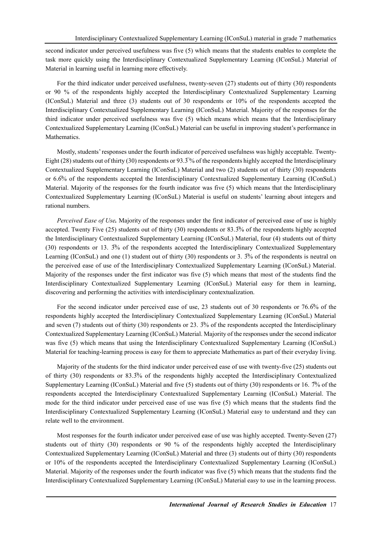second indicator under perceived usefulness was five (5) which means that the students enables to complete the task more quickly using the Interdisciplinary Contextualized Supplementary Learning (IConSuL) Material of Material in learning useful in learning more effectively.

For the third indicator under perceived usefulness, twenty-seven (27) students out of thirty (30) respondents or 90 % of the respondents highly accepted the Interdisciplinary Contextualized Supplementary Learning (IConSuL) Material and three (3) students out of 30 respondents or 10% of the respondents accepted the Interdisciplinary Contextualized Supplementary Learning (IConSuL) Material. Majority of the responses for the third indicator under perceived usefulness was five (5) which means which means that the Interdisciplinary Contextualized Supplementary Learning (IConSuL) Material can be useful in improving student's performance in Mathematics.

Mostly, students' responses under the fourth indicator of perceived usefulness was highly acceptable. Twenty-Eight (28) students out of thirty (30) respondents or 93.3% of the respondents highly accepted the Interdisciplinary Contextualized Supplementary Learning (IConSuL) Material and two (2) students out of thirty (30) respondents or 6.6% of the respondents accepted the Interdisciplinary Contextualized Supplementary Learning (IConSuL) Material. Majority of the responses for the fourth indicator was five (5) which means that the Interdisciplinary Contextualized Supplementary Learning (IConSuL) Material is useful on students' learning about integers and rational numbers.

*Perceived Ease of Use.* Majority of the responses under the first indicator of perceived ease of use is highly accepted. Twenty Five (25) students out of thirty (30) respondents or 83.3̅% of the respondents highly accepted the Interdisciplinary Contextualized Supplementary Learning (IConSuL) Material, four (4) students out of thirty (30) respondents or 13.  $\frac{3\sqrt{2}}{6}$  of the respondents accepted the Interdisciplinary Contextualized Supplementary Learning (IConSuL) and one (1) student out of thirty (30) respondents or 3.  $\frac{3}{10}$  of the respondents is neutral on the perceived ease of use of the Interdisciplinary Contextualized Supplementary Learning (IConSuL) Material. Majority of the responses under the first indicator was five (5) which means that most of the students find the Interdisciplinary Contextualized Supplementary Learning (IConSuL) Material easy for them in learning, discovering and performing the activities with interdisciplinary contextualization.

For the second indicator under perceived ease of use, 23 students out of 30 respondents or 76.6% of the respondents highly accepted the Interdisciplinary Contextualized Supplementary Learning (IConSuL) Material and seven (7) students out of thirty (30) respondents or 23.  $\frac{3}{6}$  of the respondents accepted the Interdisciplinary Contextualized Supplementary Learning (IConSuL) Material. Majority of the responses under the second indicator was five (5) which means that using the Interdisciplinary Contextualized Supplementary Learning (IConSuL) Material for teaching-learning process is easy for them to appreciate Mathematics as part of their everyday living.

Majority of the students for the third indicator under perceived ease of use with twenty-five (25) students out of thirty (30) respondents or 83.3̅% of the respondents highly accepted the Interdisciplinary Contextualized Supplementary Learning (IConSuL) Material and five (5) students out of thirty (30) respondents or 16. 7% of the respondents accepted the Interdisciplinary Contextualized Supplementary Learning (IConSuL) Material. The mode for the third indicator under perceived ease of use was five (5) which means that the students find the Interdisciplinary Contextualized Supplementary Learning (IConSuL) Material easy to understand and they can relate well to the environment.

Most responses for the fourth indicator under perceived ease of use was highly accepted. Twenty-Seven (27) students out of thirty (30) respondents or 90 % of the respondents highly accepted the Interdisciplinary Contextualized Supplementary Learning (IConSuL) Material and three (3) students out of thirty (30) respondents or 10% of the respondents accepted the Interdisciplinary Contextualized Supplementary Learning (IConSuL) Material. Majority of the responses under the fourth indicator was five (5) which means that the students find the Interdisciplinary Contextualized Supplementary Learning (IConSuL) Material easy to use in the learning process.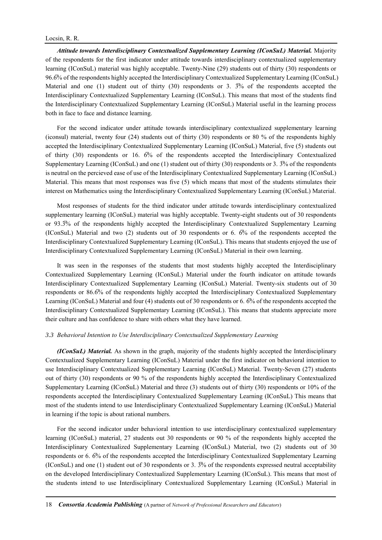### Locsin, R. R.

*Attitude towards Interdisciplinary Contextualized Supplementary Learning (IConSuL) Material.* Majority of the respondents for the first indicator under attitude towards interdisciplinary contextualized supplementary learning (IConSuL) material was highly acceptable. Twenty-Nine (29) students out of thirty (30) respondents or 96.6̅% of the respondents highly accepted the Interdisciplinary Contextualized Supplementary Learning (IConSuL) Material and one (1) student out of thirty  $(30)$  respondents or 3.  $\frac{3}{6}$  of the respondents accepted the Interdisciplinary Contextualized Supplementary Learning (IConSuL). This means that most of the students find the Interdisciplinary Contextualized Supplementary Learning (IConSuL) Material useful in the learning process both in face to face and distance learning.

For the second indicator under attitude towards interdisciplinary contextualized supplementary learning (iconsul) material, twenty four (24) students out of thirty (30) respondents or 80 % of the respondents highly accepted the Interdisciplinary Contextualized Supplementary Learning (IConSuL) Material, five (5) students out of thirty (30) respondents or 16.  $\overline{6\%}$  of the respondents accepted the Interdisciplinary Contextualized Supplementary Learning (IConSuL) and one (1) student out of thirty (30) respondents or 3. 3̅% of the respondents is neutral on the percieved ease of use of the Interdisciplinary Contextualized Supplementary Learning (IConSuL) Material. This means that most responses was five (5) which means that most of the students stimulates their interest on Mathematics using the Interdisciplinary Contextualized Supplementary Learning (IConSuL) Material.

Most responses of students for the third indicator under attitude towards interdisciplinary contextualized supplementary learning (IConSuL) material was highly acceptable. Twenty-eight students out of 30 respondents or 93.3̅% of the respondents highly accepted the Interdisciplinary Contextualized Supplementary Learning (IConSuL) Material and two (2) students out of 30 respondents or 6.  $\overline{6}$ % of the respondents accepted the Interdisciplinary Contextualized Supplementary Learning (IConSuL). This means that students enjoyed the use of Interdisciplinary Contextualized Supplementary Learning (IConSuL) Material in their own learning.

It was seen in the responses of the students that most students highly accepted the Interdisciplinary Contextualized Supplementary Learning (IConSuL) Material under the fourth indicator on attitude towards Interdisciplinary Contextualized Supplementary Learning (IConSuL) Material. Twenty-six students out of 30 respondents or 86.6̅% of the respondents highly accepted the Interdisciplinary Contextualized Supplementary Learning (IConSuL) Material and four (4) students out of 30 respondents or 6. 6% of the respondents accepted the Interdisciplinary Contextualized Supplementary Learning (IConSuL). This means that students appreciate more their culture and has confidence to share with others what they have learned.

### *3.3 Behavioral Intention to Use Interdisciplinary Contextualized Supplementary Learning*

*(IConSuL) Material.* As shown in the graph, majority of the students highly accepted the Interdisciplinary Contextualized Supplementary Learning (IConSuL) Material under the first indicator on behavioral intention to use Interdisciplinary Contextualized Supplementary Learning (IConSuL) Material. Twenty-Seven (27) students out of thirty (30) respondents or 90 % of the respondents highly accepted the Interdisciplinary Contextualized Supplementary Learning (IConSuL) Material and three (3) students out of thirty (30) respondents or 10% of the respondents accepted the Interdisciplinary Contextualized Supplementary Learning (IConSuL) This means that most of the students intend to use Interdisciplinary Contextualized Supplementary Learning (IConSuL) Material in learning if the topic is about rational numbers.

For the second indicator under behavioral intention to use interdisciplinary contextualized supplementary learning (IConSuL) material, 27 students out 30 respondents or 90 % of the respondents highly accepted the Interdisciplinary Contextualized Supplementary Learning (IConSuL) Material, two (2) students out of 30 respondents or 6. 6̅% of the respondents accepted the Interdisciplinary Contextualized Supplementary Learning (IConSuL) and one (1) student out of 30 respondents or 3.  $\frac{3\%}{10}$  of the respondents expressed neutral acceptability on the developed Interdisciplinary Contextualized Supplementary Learning (IConSuL). This means that most of the students intend to use Interdisciplinary Contextualized Supplementary Learning (IConSuL) Material in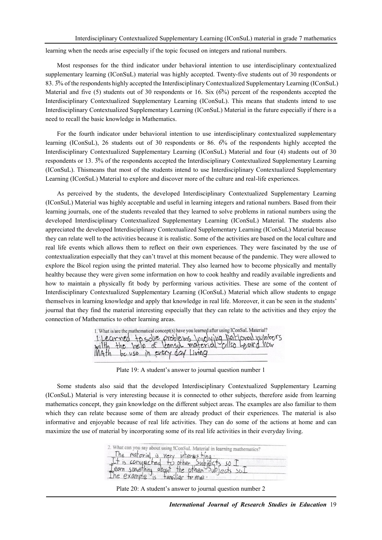learning when the needs arise especially if the topic focused on integers and rational numbers.

Most responses for the third indicator under behavioral intention to use interdisciplinary contextualized supplementary learning (IConSuL) material was highly accepted. Twenty-five students out of 30 respondents or 83.  $3\%$  of the respondents highly accepted the Interdisciplinary Contextualized Supplementary Learning (IConSuL) Material and five (5) students out of 30 respondents or 16. Six  $(6\%)$  percent of the respondents accepted the Interdisciplinary Contextualized Supplementary Learning (IConSuL). This means that students intend to use Interdisciplinary Contextualized Supplementary Learning (IConSuL) Material in the future especially if there is a need to recall the basic knowledge in Mathematics.

For the fourth indicator under behavioral intention to use interdisciplinary contextualized supplementary learning (IConSuL), 26 students out of 30 respondents or 86. 6̅% of the respondents highly accepted the Interdisciplinary Contextualized Supplementary Learning (IConSuL) Material and four (4) students out of 30 respondents or 13. 3̅% of the respondents accepted the Interdisciplinary Contextualized Supplementary Learning (IConSuL). Thismeans that most of the students intend to use Interdisciplinary Contextualized Supplementary Learning (IConSuL) Material to explore and discover more of the culture and real-life experiences.

As perceived by the students, the developed Interdisciplinary Contextualized Supplementary Learning (IConSuL) Material was highly acceptable and useful in learning integers and rational numbers. Based from their learning journals, one of the students revealed that they learned to solve problems in rational numbers using the developed Interdisciplinary Contextualized Supplementary Learning (IConSuL) Material. The students also appreciated the developed Interdisciplinary Contextualized Supplementary Learning (IConSuL) Material because they can relate well to the activities because it is realistic. Some of the activities are based on the local culture and real life events which allows them to reflect on their own experiences. They were fascinated by the use of contextualization especially that they can't travel at this moment because of the pandemic. They were allowed to explore the Bicol region using the printed material. They also learned how to become physically and mentally healthy because they were given some information on how to cook healthy and readily available ingredients and how to maintain a physically fit body by performing various activities. These are some of the content of Interdisciplinary Contextualized Supplementary Learning (IConSuL) Material which allow students to engage themselves in learning knowledge and apply that knowledge in real life. Moreover, it can be seen in the students' journal that they find the material interesting especially that they can relate to the activities and they enjoy the connection of Mathematics to other learning areas.

| 1. What is/are the mathematical concept(s) have you learned after using IConSuL Material? |                                                                                                                                                   |
|-------------------------------------------------------------------------------------------|---------------------------------------------------------------------------------------------------------------------------------------------------|
|                                                                                           |                                                                                                                                                   |
|                                                                                           | 1 Lecumed to solve problems Involving Rational numbers<br>witth the help of lensil material cillso Loand now<br>Illath be use in every day Living |
|                                                                                           |                                                                                                                                                   |

Plate 19: A student's answer to journal question number 1

Some students also said that the developed Interdisciplinary Contextualized Supplementary Learning (IConSuL) Material is very interesting because it is connected to other subjects, therefore aside from learning mathematics concept, they gain knowledge on the different subject areas. The examples are also familiar to them which they can relate because some of them are already product of their experiences. The material is also informative and enjoyable because of real life activities. They can do some of the actions at home and can maximize the use of material by incorporating some of its real life activities in their everyday living.

| 2. What can you say about using IConSuL Material in learning mathematics? |  |
|---------------------------------------------------------------------------|--|
| The material is very interesting                                          |  |
| It is convected to other, Subjects so I                                   |  |
| Team something about the other Subjects sul                               |  |
| The example is familiar to me.                                            |  |

Plate 20: A student's answer to journal question number 2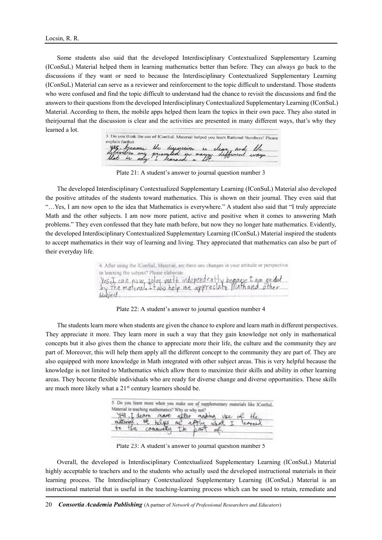Some students also said that the developed Interdisciplinary Contextualized Supplementary Learning (IConSuL) Material helped them in learning mathematics better than before. They can always go back to the discussions if they want or need to because the Interdisciplinary Contextualized Supplementary Learning (IConSuL) Material can serve as a reviewer and reinforcement to the topic difficult to understand. Those students who were confused and find the topic difficult to understand had the chance to revisit the discussions and find the answers to their questions from the developed Interdisciplinary Contextualized Supplementary Learning (IConSuL) Material. According to them, the mobile apps helped them learn the topics in their own pace. They also stated in theirjournal that the discussion is clear and the activities are presented in many different ways, that's why they learned a lot.

3. Do you think the use of IConSuL Material helped you learn Rational Numbers? Please the discussion in clear and the

Plate 21: A student's answer to journal question number 3

The developed Interdisciplinary Contextualized Supplementary Learning (IConSuL) Material also developed the positive attitudes of the students toward mathematics. This is shown on their journal. They even said that "…Yes, I am now open to the idea that Mathematics is everywhere." A student also said that "I truly appreciate Math and the other subjects. I am now more patient, active and positive when it comes to answering Math problems." They even confessed that they hate math before, but now they no longer hate mathematics. Evidently, the developed Interdisciplinary Contextualized Supplementary Learning (IConSuL) Material inspired the students to accept mathematics in their way of learning and living. They appreciated that mathematics can also be part of their everyday life.

| 4. After using the IConSuL Material, are there any changes in your attitude or perspective |
|--------------------------------------------------------------------------------------------|
| in learning the subject? Please elaborate.                                                 |
| Yes, I can now solve math independently because I am guided                                |
|                                                                                            |
| subject.                                                                                   |

Plate 22: A student's answer to journal question number 4

The students learn more when students are given the chance to explore and learn math in different perspectives. They appreciate it more. They learn more in such a way that they gain knowledge not only in mathematical concepts but it also gives them the chance to appreciate more their life, the culture and the community they are part of. Moreover, this will help them apply all the different concept to the community they are part of. They are also equipped with more knowledge in Math integrated with other subject areas. This is very helpful because the knowledge is not limited to Mathematics which allow them to maximize their skills and ability in other learning areas. They become flexible individuals who are ready for diverse change and diverse opportunities. These skills are much more likely what a 21<sup>st</sup> century learners should be.

|                                                   |              |  |             | 5. Do you learn more when you make use of supplementary materials like IConSuL |
|---------------------------------------------------|--------------|--|-------------|--------------------------------------------------------------------------------|
| Material in teaching mathematics? Why or why not? |              |  |             |                                                                                |
|                                                   |              |  |             | yes, I dearn mare after making use of the                                      |
| material, It belges me apply what I               |              |  |             |                                                                                |
| $+$<br>the                                        | community In |  | $0.017$ of. |                                                                                |

Plate 23: A student's answer to journal question number 5

Overall, the developed is Interdisciplinary Contextualized Supplementary Learning (IConSuL) Material highly acceptable to teachers and to the students who actually used the developed instructional materials in their learning process. The Interdisciplinary Contextualized Supplementary Learning (IConSuL) Material is an instructional material that is useful in the teaching-learning process which can be used to retain, remediate and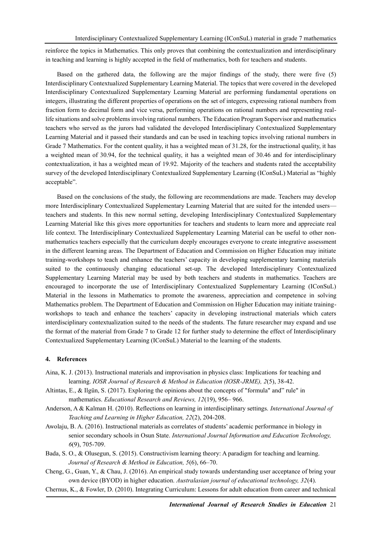reinforce the topics in Mathematics. This only proves that combining the contextualization and interdisciplinary in teaching and learning is highly accepted in the field of mathematics, both for teachers and students.

Based on the gathered data, the following are the major findings of the study, there were five (5) Interdisciplinary Contextualized Supplementary Learning Material. The topics that were covered in the developed Interdisciplinary Contextualized Supplementary Learning Material are performing fundamental operations on integers, illustrating the different properties of operations on the set of integers, expressing rational numbers from fraction form to decimal form and vice versa, performing operations on rational numbers and representing reallife situations and solve problems involving rational numbers. The Education Program Supervisor and mathematics teachers who served as the jurors had validated the developed Interdisciplinary Contextualized Supplementary Learning Material and it passed their standards and can be used in teaching topics involving rational numbers in Grade 7 Mathematics. For the content quality, it has a weighted mean of 31.28, for the instructional quality, it has a weighted mean of 30.94, for the technical quality, it has a weighted mean of 30.46 and for interdisciplinary contextualization, it has a weighted mean of 19.92. Majority of the teachers and students rated the acceptability survey of the developed Interdisciplinary Contextualized Supplementary Learning (IConSuL) Material as "highly acceptable".

Based on the conclusions of the study, the following are recommendations are made. Teachers may develop more Interdisciplinary Contextualized Supplementary Learning Material that are suited for the intended users teachers and students. In this new normal setting, developing Interdisciplinary Contextualized Supplementary Learning Material like this gives more opportunities for teachers and students to learn more and appreciate real life context. The Interdisciplinary Contextualized Supplementary Learning Material can be useful to other nonmathematics teachers especially that the curriculum deeply encourages everyone to create integrative assessment in the different learning areas. The Department of Education and Commission on Higher Education may initiate training-workshops to teach and enhance the teachers' capacity in developing supplementary learning materials suited to the continuously changing educational set-up. The developed Interdisciplinary Contextualized Supplementary Learning Material may be used by both teachers and students in mathematics. Teachers are encouraged to incorporate the use of Interdisciplinary Contextualized Supplementary Learning (IConSuL) Material in the lessons in Mathematics to promote the awareness, appreciation and competence in solving Mathematics problem. The Department of Education and Commission on Higher Education may initiate trainingworkshops to teach and enhance the teachers' capacity in developing instructional materials which caters interdisciplinary contextualization suited to the needs of the students. The future researcher may expand and use the format of the material from Grade 7 to Grade 12 for further study to determine the effect of Interdisciplinary Contextualized Supplementary Learning (IConSuL) Material to the learning of the students.

### **4. References**

- Aina, K. J. (2013). Instructional materials and improvisation in physics class: Implications for teaching and learning. *IOSR Journal of Research & Method in Education (IOSR-JRME), 2*(5), 38-42.
- Altintas, E., & Ilgün, S. (2017). Exploring the opinions about the concepts of "formula" and" rule" in mathematics. *Educational Research and Reviews, 12*(19), 956– 966.
- Anderson, A & Kalman H. (2010). Reflections on learning in interdisciplinary settings. *International Journal of Teaching and Learning in Higher Education, 22*(2), 204-208.
- Awolaju, B. A. (2016). Instructional materials as correlates of students' academic performance in biology in senior secondary schools in Osun State. *International Journal Information and Education Technology, 6*(9), 705-709.
- Bada, S. O., & Olusegun, S. (2015). Constructivism learning theory: A paradigm for teaching and learning. *Journal of Research & Method in Education, 5*(6), 66–70.
- Cheng, G., Guan, Y., & Chau, J. (2016). An empirical study towards understanding user acceptance of bring your own device (BYOD) in higher education. *Australasian journal of educational technology, 32*(4).
- Chernus, K., & Fowler, D. (2010). Integrating Curriculum: Lessons for adult education from career and technical